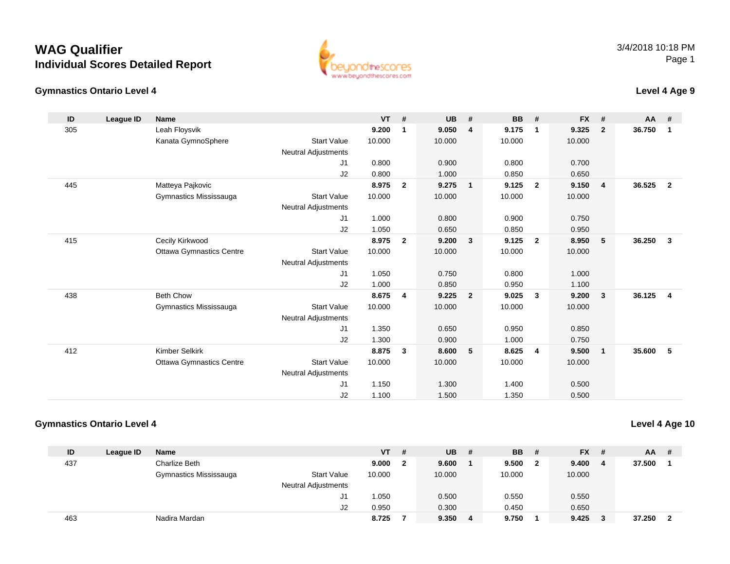#### **Gymnastics Ontario Level 4**

**ID**

305

445

415

438

412

3/4/2018 10:18 PMPage 1

|    | stics Ontario Level 4 |                                 |                            |           |                         |           |                |           |                |           |              | Level 4 Age 9 |                |
|----|-----------------------|---------------------------------|----------------------------|-----------|-------------------------|-----------|----------------|-----------|----------------|-----------|--------------|---------------|----------------|
| D  | League ID             | Name                            |                            | <b>VT</b> | #                       | <b>UB</b> | #              | <b>BB</b> | #              | <b>FX</b> | #            | AA            | #              |
| 05 |                       | Leah Floysvik                   |                            | 9.200     | -1                      | 9.050     | $\overline{4}$ | 9.175     | $\mathbf 1$    | 9.325     | $\mathbf{2}$ | 36.750        | -1             |
|    |                       | Kanata GymnoSphere              | <b>Start Value</b>         | 10.000    |                         | 10.000    |                | 10.000    |                | 10.000    |              |               |                |
|    |                       |                                 | Neutral Adjustments        |           |                         |           |                |           |                |           |              |               |                |
|    |                       |                                 | J <sub>1</sub>             | 0.800     |                         | 0.900     |                | 0.800     |                | 0.700     |              |               |                |
|    |                       |                                 | J2                         | 0.800     |                         | 1.000     |                | 0.850     |                | 0.650     |              |               |                |
| 45 |                       | Matteya Pajkovic                |                            | 8.975     | $\overline{\mathbf{2}}$ | 9.275     | $\overline{1}$ | 9.125     | $\overline{2}$ | 9.150     | 4            | 36.525        | $\overline{2}$ |
|    |                       | Gymnastics Mississauga          | <b>Start Value</b>         | 10.000    |                         | 10.000    |                | 10.000    |                | 10.000    |              |               |                |
|    |                       |                                 | Neutral Adjustments        |           |                         |           |                |           |                |           |              |               |                |
|    |                       |                                 | J1                         | 1.000     |                         | 0.800     |                | 0.900     |                | 0.750     |              |               |                |
|    |                       |                                 | J2                         | 1.050     |                         | 0.650     |                | 0.850     |                | 0.950     |              |               |                |
| 15 |                       | Cecily Kirkwood                 |                            | 8.975     | $\overline{\mathbf{2}}$ | 9.200     | -3             | 9.125     | $\overline{2}$ | 8.950     | 5            | 36.250        | 3              |
|    |                       | <b>Ottawa Gymnastics Centre</b> | <b>Start Value</b>         | 10.000    |                         | 10.000    |                | 10.000    |                | 10.000    |              |               |                |
|    |                       |                                 | <b>Neutral Adjustments</b> |           |                         |           |                |           |                |           |              |               |                |
|    |                       |                                 | J1                         | 1.050     |                         | 0.750     |                | 0.800     |                | 1.000     |              |               |                |
|    |                       |                                 | J <sub>2</sub>             | 1.000     |                         | 0.850     |                | 0.950     |                | 1.100     |              |               |                |
| 38 |                       | <b>Beth Chow</b>                |                            | 8.675     | 4                       | 9.225     | $\overline{2}$ | 9.025     | 3              | 9.200     | 3            | 36.125        | 4              |
|    |                       | Gymnastics Mississauga          | <b>Start Value</b>         | 10.000    |                         | 10.000    |                | 10.000    |                | 10.000    |              |               |                |
|    |                       |                                 | <b>Neutral Adjustments</b> |           |                         |           |                |           |                |           |              |               |                |
|    |                       |                                 | J <sub>1</sub>             | .350      |                         | 0.650     |                | 0.950     |                | 0.850     |              |               |                |

Start Value 10.000 10.000 10.000 10.000

1.350 0.650 0.950 0.850

1.300 0.900 1.000 0.750

1.150 1.300 1.400 0.500

1.100 1.500 1.350 0.500

#### **Gymnastics Ontario Level 4**

Ottawa Gymnastics Centre

**Level 4 Age 10**

| ID  | League ID | <b>Name</b>            |                            | $VT$ # |              | <b>UB</b> | - # | <b>BB</b> | - #            | <b>FX</b><br>- # | <b>AA</b> | -# |
|-----|-----------|------------------------|----------------------------|--------|--------------|-----------|-----|-----------|----------------|------------------|-----------|----|
| 437 |           | Charlize Beth          |                            | 9.000  | $\mathbf{2}$ | 9.600     |     | 9.500     | $\overline{2}$ | 9.400<br>-4      | 37.500    |    |
|     |           | Gymnastics Mississauga | <b>Start Value</b>         | 10.000 |              | 10.000    |     | 10.000    |                | 10.000           |           |    |
|     |           |                        | <b>Neutral Adjustments</b> |        |              |           |     |           |                |                  |           |    |
|     |           |                        | J1                         | 1.050  |              | 0.500     |     | 0.550     |                | 0.550            |           |    |
|     |           |                        | J2                         | 0.950  |              | 0.300     |     | 0.450     |                | 0.650            |           |    |
| 463 |           | Nadira Mardan          |                            | 8.725  |              | 9.350     | 4   | 9.750     |                | 9.425            | 37.250    |    |

J2

J1

J2

Neutral Adjustments

Kimber Selkirk **8.875 <sup>3</sup> 8.600 <sup>5</sup> 8.625 <sup>4</sup> 9.500 <sup>1</sup> 35.600 <sup>5</sup>**

www.beyondthescores.com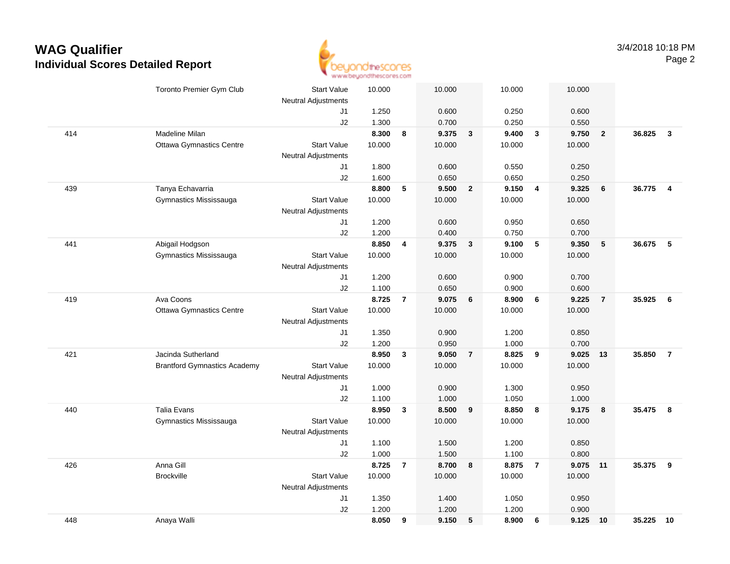

|     | Toronto Premier Gym Club            | <b>Start Value</b><br>Neutral Adjustments | 10.000         |                | 10.000         |                | 10.000         |                         | 10.000         |                         |        |                |
|-----|-------------------------------------|-------------------------------------------|----------------|----------------|----------------|----------------|----------------|-------------------------|----------------|-------------------------|--------|----------------|
|     |                                     | J1                                        | 1.250          |                | 0.600          |                | 0.250          |                         | 0.600          |                         |        |                |
|     |                                     | J2                                        | 1.300          |                | 0.700          |                | 0.250          |                         | 0.550          |                         |        |                |
| 414 | Madeline Milan                      |                                           | 8.300          | 8              | 9.375          | $\mathbf{3}$   | 9.400          | $\overline{\mathbf{3}}$ | 9.750          | $\overline{\mathbf{2}}$ | 36.825 | $\mathbf{3}$   |
|     | <b>Ottawa Gymnastics Centre</b>     | <b>Start Value</b>                        | 10.000         |                | 10.000         |                | 10.000         |                         | 10.000         |                         |        |                |
|     |                                     | <b>Neutral Adjustments</b>                |                |                |                |                |                |                         |                |                         |        |                |
|     |                                     | J1                                        | 1.800          |                | 0.600          |                | 0.550          |                         | 0.250          |                         |        |                |
|     |                                     | J2                                        | 1.600          |                | 0.650          |                | 0.650          |                         | 0.250          |                         |        |                |
| 439 | Tanya Echavarria                    |                                           | 8.800          | 5              | 9.500          | $\overline{2}$ | 9.150          | $\overline{4}$          | 9.325          | 6                       | 36.775 | $\overline{4}$ |
|     | Gymnastics Mississauga              | <b>Start Value</b>                        | 10.000         |                | 10.000         |                | 10.000         |                         | 10.000         |                         |        |                |
|     |                                     | <b>Neutral Adjustments</b>                |                |                |                |                |                |                         |                |                         |        |                |
|     |                                     | J1                                        | 1.200          |                | 0.600          |                | 0.950          |                         | 0.650          |                         |        |                |
|     |                                     | J2                                        | 1.200          |                | 0.400          |                | 0.750          |                         | 0.700          |                         |        |                |
| 441 | Abigail Hodgson                     |                                           | 8.850          | 4              | 9.375          | $\mathbf{3}$   | 9.100          | 5                       | 9.350          | 5                       | 36.675 | - 5            |
|     | Gymnastics Mississauga              | <b>Start Value</b>                        | 10.000         |                | 10.000         |                | 10.000         |                         | 10.000         |                         |        |                |
|     |                                     | <b>Neutral Adjustments</b>                |                |                |                |                |                |                         |                |                         |        |                |
|     |                                     | J1                                        | 1.200          |                | 0.600          |                | 0.900          |                         | 0.700          |                         |        |                |
|     |                                     | J2                                        | 1.100          |                | 0.650          |                | 0.900          |                         | 0.600          |                         |        |                |
| 419 | Ava Coons                           |                                           | 8.725          | $\overline{7}$ | 9.075          | 6              | 8.900          | 6                       | 9.225          | $\overline{7}$          | 35.925 | - 6            |
|     | <b>Ottawa Gymnastics Centre</b>     | <b>Start Value</b>                        | 10.000         |                | 10.000         |                | 10.000         |                         | 10.000         |                         |        |                |
|     |                                     | <b>Neutral Adjustments</b>                |                |                |                |                |                |                         |                |                         |        |                |
|     |                                     | J1                                        | 1.350          |                | 0.900          |                | 1.200          |                         | 0.850          |                         |        |                |
|     |                                     | J2                                        | 1.200          |                | 0.950          |                | 1.000          |                         | 0.700          |                         |        |                |
| 421 | Jacinda Sutherland                  |                                           | 8.950          | $\mathbf{3}$   | 9.050          | $\overline{7}$ | 8.825          | 9                       | 9.025          | 13                      | 35.850 | $\overline{7}$ |
|     | <b>Brantford Gymnastics Academy</b> | <b>Start Value</b>                        | 10.000         |                | 10.000         |                | 10.000         |                         | 10.000         |                         |        |                |
|     |                                     | <b>Neutral Adjustments</b>                |                |                |                |                |                |                         |                |                         |        |                |
|     |                                     | J1                                        | 1.000          |                | 0.900          |                | 1.300          |                         | 0.950          |                         |        |                |
|     |                                     | J2                                        | 1.100          |                | 1.000          |                | 1.050          |                         | 1.000          |                         |        |                |
| 440 | <b>Talia Evans</b>                  |                                           | 8.950          | 3              | 8.500          | 9              | 8.850          | 8                       | 9.175          | 8                       | 35.475 | 8              |
|     | Gymnastics Mississauga              | <b>Start Value</b>                        | 10.000         |                | 10.000         |                | 10.000         |                         | 10.000         |                         |        |                |
|     |                                     | <b>Neutral Adjustments</b>                |                |                |                |                |                |                         |                |                         |        |                |
|     |                                     | J1<br>J2                                  | 1.100<br>1.000 |                | 1.500<br>1.500 |                | 1.200<br>1.100 |                         | 0.850<br>0.800 |                         |        |                |
| 426 | Anna Gill                           |                                           | 8.725          | $\overline{7}$ | 8.700          | 8              | 8.875          | $\overline{7}$          | 9.075 11       |                         | 35.375 | 9              |
|     | <b>Brockville</b>                   | <b>Start Value</b>                        | 10.000         |                | 10.000         |                | 10.000         |                         | 10.000         |                         |        |                |
|     |                                     | <b>Neutral Adjustments</b>                |                |                |                |                |                |                         |                |                         |        |                |
|     |                                     | J1                                        | 1.350          |                | 1.400          |                | 1.050          |                         | 0.950          |                         |        |                |
|     |                                     | J2                                        | 1.200          |                | 1.200          |                | 1.200          |                         | 0.900          |                         |        |                |
| 448 | Anaya Walli                         |                                           | 8.050          | 9              | 9.150          | 5              | 8.900          | 6                       | 9.125          | 10                      | 35.225 | 10             |
|     |                                     |                                           |                |                |                |                |                |                         |                |                         |        |                |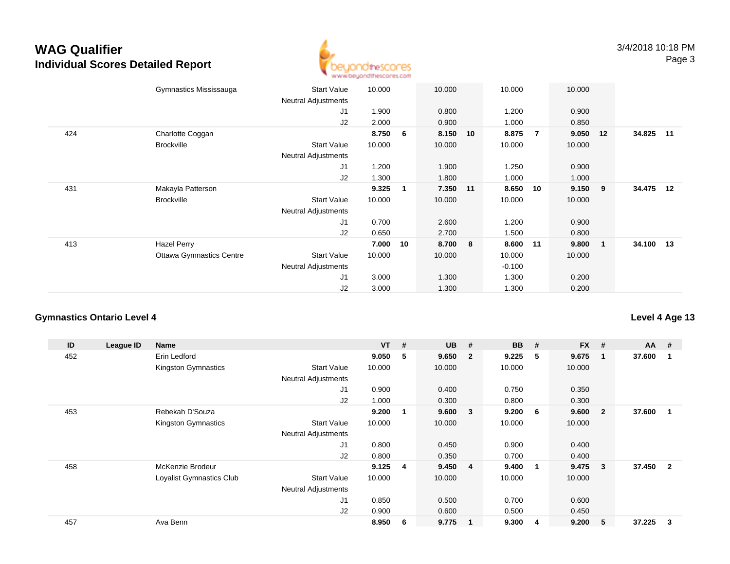

|     | Gymnastics Mississauga          | <b>Start Value</b><br><b>Neutral Adjustments</b> | 10.000 |              | 10.000   |    | 10.000   |                | 10.000 |    |           |  |
|-----|---------------------------------|--------------------------------------------------|--------|--------------|----------|----|----------|----------------|--------|----|-----------|--|
|     |                                 | J1                                               |        |              |          |    |          |                |        |    |           |  |
|     |                                 |                                                  | 1.900  |              | 0.800    |    | 1.200    |                | 0.900  |    |           |  |
|     |                                 | J2                                               | 2.000  |              | 0.900    |    | 1.000    |                | 0.850  |    |           |  |
| 424 | Charlotte Coggan                |                                                  | 8.750  | 6            | 8.150    | 10 | 8.875    | $\overline{7}$ | 9.050  | 12 | 34.825 11 |  |
|     | <b>Brockville</b>               | <b>Start Value</b>                               | 10.000 |              | 10.000   |    | 10.000   |                | 10.000 |    |           |  |
|     |                                 | <b>Neutral Adjustments</b>                       |        |              |          |    |          |                |        |    |           |  |
|     |                                 | J1                                               | 1.200  |              | 1.900    |    | 1.250    |                | 0.900  |    |           |  |
|     |                                 | J2                                               | 1.300  |              | 1.800    |    | 1.000    |                | 1.000  |    |           |  |
| 431 | Makayla Patterson               |                                                  | 9.325  | $\mathbf{1}$ | 7.350 11 |    | 8.650    | 10             | 9.150  | 9  | 34.475 12 |  |
|     | <b>Brockville</b>               | <b>Start Value</b>                               | 10.000 |              | 10.000   |    | 10.000   |                | 10.000 |    |           |  |
|     |                                 | Neutral Adjustments                              |        |              |          |    |          |                |        |    |           |  |
|     |                                 | J1                                               | 0.700  |              | 2.600    |    | 1.200    |                | 0.900  |    |           |  |
|     |                                 | J2                                               | 0.650  |              | 2.700    |    | 1.500    |                | 0.800  |    |           |  |
| 413 | Hazel Perry                     |                                                  | 7.000  | 10           | 8.700    | 8  | 8.600    | 11             | 9.800  | 1  | 34.100 13 |  |
|     | <b>Ottawa Gymnastics Centre</b> | <b>Start Value</b>                               | 10.000 |              | 10.000   |    | 10.000   |                | 10.000 |    |           |  |
|     |                                 | <b>Neutral Adjustments</b>                       |        |              |          |    | $-0.100$ |                |        |    |           |  |
|     |                                 | J1                                               | 3.000  |              | 1.300    |    | 1.300    |                | 0.200  |    |           |  |
|     |                                 | J <sub>2</sub>                                   | 3.000  |              | 1.300    |    | 1.300    |                | 0.200  |    |           |  |
|     |                                 |                                                  |        |              |          |    |          |                |        |    |           |  |

### **Gymnastics Ontario Level 4**

| ID  | League ID | Name                     |                            | <b>VT</b> | #   | <b>UB</b> | #                       | <b>BB</b> | #                       | <b>FX</b> | #              | $AA$ # |                |
|-----|-----------|--------------------------|----------------------------|-----------|-----|-----------|-------------------------|-----------|-------------------------|-----------|----------------|--------|----------------|
| 452 |           | Erin Ledford             |                            | 9.050     | 5   | 9.650     | $\overline{\mathbf{2}}$ | 9.225     | 5                       | 9.675     | 1              | 37.600 |                |
|     |           | Kingston Gymnastics      | <b>Start Value</b>         | 10.000    |     | 10.000    |                         | 10.000    |                         | 10.000    |                |        |                |
|     |           |                          | <b>Neutral Adjustments</b> |           |     |           |                         |           |                         |           |                |        |                |
|     |           |                          | J1                         | 0.900     |     | 0.400     |                         | 0.750     |                         | 0.350     |                |        |                |
|     |           |                          | J2                         | 1.000     |     | 0.300     |                         | 0.800     |                         | 0.300     |                |        |                |
| 453 |           | Rebekah D'Souza          |                            | 9.200     | - 1 | 9.600     | $\overline{\mathbf{3}}$ | 9.200     | -6                      | 9.600     | $\overline{2}$ | 37.600 |                |
|     |           | Kingston Gymnastics      | <b>Start Value</b>         | 10.000    |     | 10.000    |                         | 10.000    |                         | 10.000    |                |        |                |
|     |           |                          | <b>Neutral Adjustments</b> |           |     |           |                         |           |                         |           |                |        |                |
|     |           |                          | J <sub>1</sub>             | 0.800     |     | 0.450     |                         | 0.900     |                         | 0.400     |                |        |                |
|     |           |                          | J2                         | 0.800     |     | 0.350     |                         | 0.700     |                         | 0.400     |                |        |                |
| 458 |           | McKenzie Brodeur         |                            | 9.125     | -4  | 9.450     | $\overline{\mathbf{4}}$ | 9.400     | $\overline{\mathbf{1}}$ | 9.475     | 3              | 37.450 | $\overline{2}$ |
|     |           | Loyalist Gymnastics Club | <b>Start Value</b>         | 10.000    |     | 10.000    |                         | 10.000    |                         | 10.000    |                |        |                |
|     |           |                          | <b>Neutral Adjustments</b> |           |     |           |                         |           |                         |           |                |        |                |
|     |           |                          | J <sub>1</sub>             | 0.850     |     | 0.500     |                         | 0.700     |                         | 0.600     |                |        |                |
|     |           |                          | J2                         | 0.900     |     | 0.600     |                         | 0.500     |                         | 0.450     |                |        |                |
| 457 |           | Ava Benn                 |                            | 8.950     | -6  | 9.775     | $\overline{1}$          | 9.300     | -4                      | 9.200     | 5              | 37.225 | 3              |

### **Level 4 Age 13**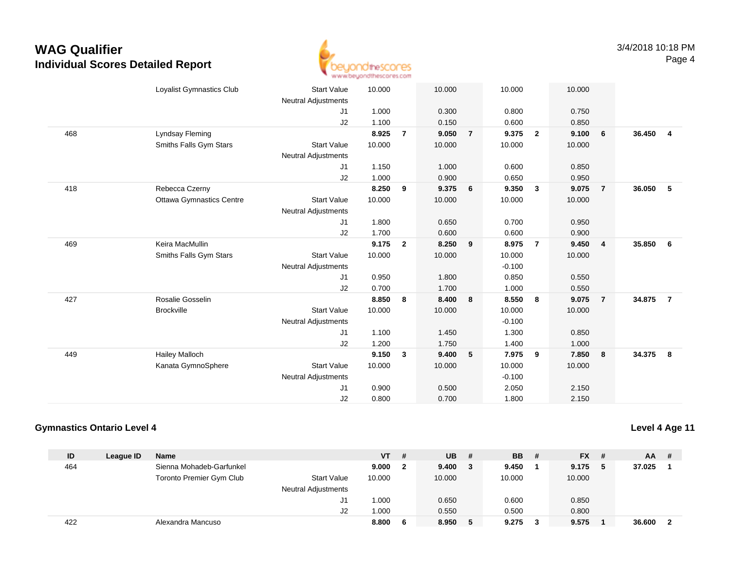

|     | Loyalist Gymnastics Club        | <b>Start Value</b><br>Neutral Adjustments | 10.000 |                | 10.000 |                 | 10.000   |                         | 10.000 |                |        |                |
|-----|---------------------------------|-------------------------------------------|--------|----------------|--------|-----------------|----------|-------------------------|--------|----------------|--------|----------------|
|     |                                 | J1                                        | 1.000  |                | 0.300  |                 | 0.800    |                         | 0.750  |                |        |                |
|     |                                 | J2                                        | 1.100  |                | 0.150  |                 | 0.600    |                         | 0.850  |                |        |                |
| 468 | Lyndsay Fleming                 |                                           | 8.925  | $\overline{7}$ | 9.050  | $\overline{7}$  | 9.375    | $\overline{2}$          | 9.100  | 6              | 36.450 | $\overline{4}$ |
|     | Smiths Falls Gym Stars          | <b>Start Value</b>                        | 10.000 |                | 10.000 |                 | 10.000   |                         | 10.000 |                |        |                |
|     |                                 | <b>Neutral Adjustments</b>                |        |                |        |                 |          |                         |        |                |        |                |
|     |                                 | J1                                        | 1.150  |                | 1.000  |                 | 0.600    |                         | 0.850  |                |        |                |
|     |                                 | J2                                        | 1.000  |                | 0.900  |                 | 0.650    |                         | 0.950  |                |        |                |
| 418 | Rebecca Czerny                  |                                           | 8.250  | 9              | 9.375  | $6\overline{6}$ | 9.350    | $\overline{\mathbf{3}}$ | 9.075  | $\overline{7}$ | 36.050 | - 5            |
|     | <b>Ottawa Gymnastics Centre</b> | <b>Start Value</b>                        | 10.000 |                | 10.000 |                 | 10.000   |                         | 10.000 |                |        |                |
|     |                                 | Neutral Adjustments                       |        |                |        |                 |          |                         |        |                |        |                |
|     |                                 | J1                                        | 1.800  |                | 0.650  |                 | 0.700    |                         | 0.950  |                |        |                |
|     |                                 | J2                                        | 1.700  |                | 0.600  |                 | 0.600    |                         | 0.900  |                |        |                |
| 469 | Keira MacMullin                 |                                           | 9.175  | $\overline{2}$ | 8.250  | 9               | 8.975    | $\overline{7}$          | 9.450  | $\overline{4}$ | 35.850 | 6              |
|     | Smiths Falls Gym Stars          | <b>Start Value</b>                        | 10.000 |                | 10.000 |                 | 10.000   |                         | 10.000 |                |        |                |
|     |                                 | <b>Neutral Adjustments</b>                |        |                |        |                 | $-0.100$ |                         |        |                |        |                |
|     |                                 | J1                                        | 0.950  |                | 1.800  |                 | 0.850    |                         | 0.550  |                |        |                |
|     |                                 | J2                                        | 0.700  |                | 1.700  |                 | 1.000    |                         | 0.550  |                |        |                |
| 427 | Rosalie Gosselin                |                                           | 8.850  | 8              | 8.400  | 8               | 8.550    | 8                       | 9.075  | $\overline{7}$ | 34.875 | $\overline{7}$ |
|     | <b>Brockville</b>               | <b>Start Value</b>                        | 10.000 |                | 10.000 |                 | 10.000   |                         | 10.000 |                |        |                |
|     |                                 | Neutral Adjustments                       |        |                |        |                 | $-0.100$ |                         |        |                |        |                |
|     |                                 | J1                                        | 1.100  |                | 1.450  |                 | 1.300    |                         | 0.850  |                |        |                |
|     |                                 | J2                                        | 1.200  |                | 1.750  |                 | 1.400    |                         | 1.000  |                |        |                |
| 449 | <b>Hailey Malloch</b>           |                                           | 9.150  | $\mathbf{3}$   | 9.400  | 5               | 7.975    | 9                       | 7.850  | 8              | 34.375 | $_{\rm 8}$     |
|     | Kanata GymnoSphere              | <b>Start Value</b>                        | 10.000 |                | 10.000 |                 | 10.000   |                         | 10.000 |                |        |                |
|     |                                 | <b>Neutral Adjustments</b>                |        |                |        |                 | $-0.100$ |                         |        |                |        |                |
|     |                                 | J1                                        | 0.900  |                | 0.500  |                 | 2.050    |                         | 2.150  |                |        |                |
|     |                                 | J2                                        | 0.800  |                | 0.700  |                 | 1.800    |                         | 2.150  |                |        |                |

### **Gymnastics Ontario Level 4**

**Level 4 Age 11**

| ID  | League ID | <b>Name</b>              |                            | VT     | # | UB.    |   | <b>BB</b> | - # | $FX$ #  | <b>AA</b> | - #            |
|-----|-----------|--------------------------|----------------------------|--------|---|--------|---|-----------|-----|---------|-----------|----------------|
| 464 |           | Sienna Mohadeb-Garfunkel |                            | 9.000  | 2 | 9.400  | 3 | 9.450     |     | 9.175 5 | 37.025    |                |
|     |           | Toronto Premier Gym Club | <b>Start Value</b>         | 10.000 |   | 10.000 |   | 10.000    |     | 10.000  |           |                |
|     |           |                          | <b>Neutral Adjustments</b> |        |   |        |   |           |     |         |           |                |
|     |           |                          | J1                         | 1.000  |   | 0.650  |   | 0.600     |     | 0.850   |           |                |
|     |           |                          | J2                         | 1.000  |   | 0.550  |   | 0.500     |     | 0.800   |           |                |
| 422 |           | Alexandra Mancuso        |                            | 8.800  | 6 | 8.950  |   | 9.275     | 3   | 9.575   | 36,600    | $\overline{2}$ |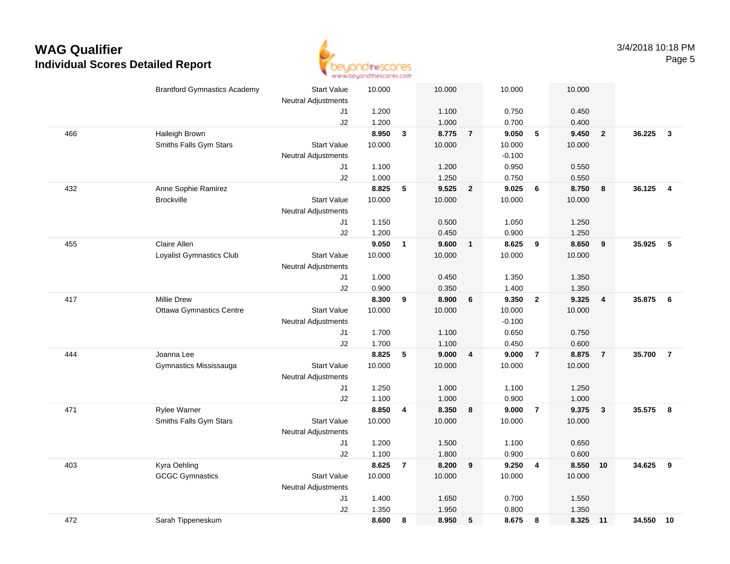

|     | <b>Brantford Gymnastics Academy</b> | <b>Start Value</b>         | 10.000 |                | 10.000 |                | 10.000   |                          | 10.000   |                         |        |                         |
|-----|-------------------------------------|----------------------------|--------|----------------|--------|----------------|----------|--------------------------|----------|-------------------------|--------|-------------------------|
|     |                                     | <b>Neutral Adjustments</b> |        |                |        |                |          |                          |          |                         |        |                         |
|     |                                     | J1                         | 1.200  |                | 1.100  |                | 0.750    |                          | 0.450    |                         |        |                         |
|     |                                     | J2                         | 1.200  |                | 1.000  |                | 0.700    |                          | 0.400    |                         |        |                         |
| 466 | Haileigh Brown                      |                            | 8.950  | $\mathbf{3}$   | 8.775  | $\overline{7}$ | 9.050    | $\overline{\phantom{0}}$ | 9.450    | $\overline{2}$          | 36.225 | $\mathbf{3}$            |
|     | Smiths Falls Gym Stars              | <b>Start Value</b>         | 10.000 |                | 10.000 |                | 10.000   |                          | 10.000   |                         |        |                         |
|     |                                     | <b>Neutral Adjustments</b> |        |                |        |                | $-0.100$ |                          |          |                         |        |                         |
|     |                                     | J1                         | 1.100  |                | 1.200  |                | 0.950    |                          | 0.550    |                         |        |                         |
|     |                                     | J2                         | 1.000  |                | 1.250  |                | 0.750    |                          | 0.550    |                         |        |                         |
| 432 | Anne Sophie Ramirez                 |                            | 8.825  | 5              | 9.525  | $\overline{2}$ | 9.025    | - 6                      | 8.750    | 8                       | 36.125 | $\overline{\mathbf{4}}$ |
|     | <b>Brockville</b>                   | <b>Start Value</b>         | 10.000 |                | 10.000 |                | 10.000   |                          | 10.000   |                         |        |                         |
|     |                                     | <b>Neutral Adjustments</b> |        |                |        |                |          |                          |          |                         |        |                         |
|     |                                     | J1                         | 1.150  |                | 0.500  |                | 1.050    |                          | 1.250    |                         |        |                         |
|     |                                     | J2                         | 1.200  |                | 0.450  |                | 0.900    |                          | 1.250    |                         |        |                         |
| 455 | Claire Allen                        |                            | 9.050  | $\mathbf{1}$   | 9.600  | $\mathbf{1}$   | 8.625    | $\overline{\mathbf{9}}$  | 8.650    | 9                       | 35.925 | - 5                     |
|     | Loyalist Gymnastics Club            | <b>Start Value</b>         | 10.000 |                | 10.000 |                | 10.000   |                          | 10.000   |                         |        |                         |
|     |                                     | <b>Neutral Adjustments</b> |        |                |        |                |          |                          |          |                         |        |                         |
|     |                                     | J1                         | 1.000  |                | 0.450  |                | 1.350    |                          | 1.350    |                         |        |                         |
|     |                                     | J2                         | 0.900  |                | 0.350  |                | 1.400    |                          | 1.350    |                         |        |                         |
| 417 | <b>Millie Drew</b>                  |                            | 8.300  | 9              | 8.900  | 6              | 9.350    | $\overline{2}$           | 9.325    | $\overline{\mathbf{4}}$ | 35.875 | 6                       |
|     | <b>Ottawa Gymnastics Centre</b>     | <b>Start Value</b>         | 10.000 |                | 10.000 |                | 10.000   |                          | 10.000   |                         |        |                         |
|     |                                     | Neutral Adjustments        |        |                |        |                | $-0.100$ |                          |          |                         |        |                         |
|     |                                     | J1                         | 1.700  |                | 1.100  |                | 0.650    |                          | 0.750    |                         |        |                         |
|     |                                     | J2                         | 1.700  |                | 1.100  |                | 0.450    |                          | 0.600    |                         |        |                         |
| 444 | Joanna Lee                          |                            | 8.825  | 5              | 9.000  | 4              | 9.000    | $\overline{7}$           | 8.875    | $\overline{7}$          | 35.700 | $\overline{7}$          |
|     | Gymnastics Mississauga              | <b>Start Value</b>         | 10.000 |                | 10.000 |                | 10.000   |                          | 10.000   |                         |        |                         |
|     |                                     | Neutral Adjustments        |        |                |        |                |          |                          |          |                         |        |                         |
|     |                                     | J1                         | 1.250  |                | 1.000  |                | 1.100    |                          | 1.250    |                         |        |                         |
|     |                                     | J2                         | 1.100  |                | 1.000  |                | 0.900    |                          | 1.000    |                         |        |                         |
| 471 | Rylee Warner                        |                            | 8.850  | 4              | 8.350  | 8              | 9.000    | $\overline{7}$           | 9.375    | $\mathbf{3}$            | 35.575 | 8                       |
|     | Smiths Falls Gym Stars              | <b>Start Value</b>         | 10.000 |                | 10.000 |                | 10.000   |                          | 10.000   |                         |        |                         |
|     |                                     | <b>Neutral Adjustments</b> |        |                |        |                |          |                          |          |                         |        |                         |
|     |                                     | J1                         | 1.200  |                | 1.500  |                | 1.100    |                          | 0.650    |                         |        |                         |
|     |                                     | J2                         | 1.100  |                | 1.800  |                | 0.900    |                          | 0.600    |                         |        |                         |
| 403 | Kyra Oehling                        |                            | 8.625  | $\overline{7}$ | 8.200  | 9              | 9.250    | $\overline{4}$           | 8.550    | 10                      | 34.625 | 9                       |
|     | <b>GCGC Gymnastics</b>              | <b>Start Value</b>         | 10.000 |                | 10.000 |                | 10.000   |                          | 10.000   |                         |        |                         |
|     |                                     | <b>Neutral Adjustments</b> |        |                |        |                |          |                          |          |                         |        |                         |
|     |                                     | J1                         | 1.400  |                | 1.650  |                | 0.700    |                          | 1.550    |                         |        |                         |
|     |                                     | J2                         | 1.350  |                | 1.950  |                | 0.800    |                          | 1.350    |                         |        |                         |
| 472 | Sarah Tippeneskum                   |                            | 8.600  | 8              | 8.950  | 5              | 8.675    | 8                        | 8.325 11 |                         | 34.550 | 10                      |
|     |                                     |                            |        |                |        |                |          |                          |          |                         |        |                         |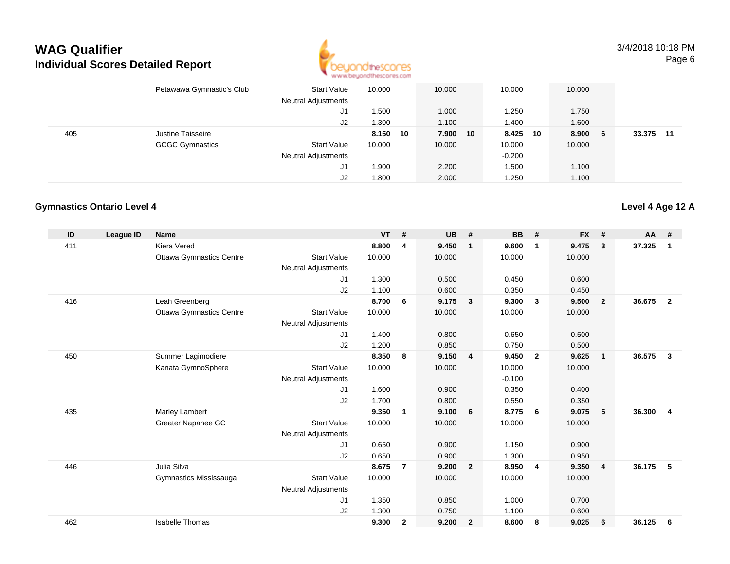

3/4/2018 10:18 PMPage 6

|     | Petawawa Gymnastic's Club | <b>Start Value</b><br><b>Neutral Adjustments</b> | 10.000   | 10.000 |    | 10.000   |    | 10.000 |    |        |      |
|-----|---------------------------|--------------------------------------------------|----------|--------|----|----------|----|--------|----|--------|------|
|     |                           | J1                                               | .500     | 1.000  |    | 1.250    |    | 1.750  |    |        |      |
|     |                           | J2                                               | 1.300    | 1.100  |    | 1.400    |    | 1.600  |    |        |      |
| 405 | Justine Taisseire         |                                                  | 8.150 10 | 7.900  | 10 | 8.425    | 10 | 8.900  | -6 | 33.375 | - 11 |
|     | <b>GCGC Gymnastics</b>    | <b>Start Value</b>                               | 10.000   | 10.000 |    | 10.000   |    | 10.000 |    |        |      |
|     |                           | <b>Neutral Adjustments</b>                       |          |        |    | $-0.200$ |    |        |    |        |      |
|     |                           | J1                                               | 900. ا   | 2.200  |    | 1.500    |    | 1.100  |    |        |      |
|     |                           | J2                                               | 1.800    | 2.000  |    | 1.250    |    | 1.100  |    |        |      |

### **Gymnastics Ontario Level 4**

| ID  | League ID | <b>Name</b>                     |                            | <b>VT</b> | #              | <b>UB</b> | #                       | <b>BB</b> | #              | <b>FX</b> | #              | $AA$ # |                |
|-----|-----------|---------------------------------|----------------------------|-----------|----------------|-----------|-------------------------|-----------|----------------|-----------|----------------|--------|----------------|
| 411 |           | <b>Kiera Vered</b>              |                            | 8.800     | 4              | 9.450     | $\overline{\mathbf{1}}$ | 9.600     | $\mathbf{1}$   | 9.475     | 3              | 37.325 | $\mathbf{1}$   |
|     |           | <b>Ottawa Gymnastics Centre</b> | <b>Start Value</b>         | 10.000    |                | 10.000    |                         | 10.000    |                | 10.000    |                |        |                |
|     |           |                                 | <b>Neutral Adjustments</b> |           |                |           |                         |           |                |           |                |        |                |
|     |           |                                 | J <sub>1</sub>             | 1.300     |                | 0.500     |                         | 0.450     |                | 0.600     |                |        |                |
|     |           |                                 | J2                         | 1.100     |                | 0.600     |                         | 0.350     |                | 0.450     |                |        |                |
| 416 |           | Leah Greenberg                  |                            | 8.700     | 6              | 9.175     | $\overline{\mathbf{3}}$ | 9.300     | $\mathbf{3}$   | 9.500     | $\overline{2}$ | 36.675 | $\overline{2}$ |
|     |           | <b>Ottawa Gymnastics Centre</b> | <b>Start Value</b>         | 10.000    |                | 10.000    |                         | 10.000    |                | 10.000    |                |        |                |
|     |           |                                 | <b>Neutral Adjustments</b> |           |                |           |                         |           |                |           |                |        |                |
|     |           |                                 | J1                         | 1.400     |                | 0.800     |                         | 0.650     |                | 0.500     |                |        |                |
|     |           |                                 | J2                         | 1.200     |                | 0.850     |                         | 0.750     |                | 0.500     |                |        |                |
| 450 |           | Summer Lagimodiere              |                            | 8.350     | 8              | 9.150     | $\overline{4}$          | 9.450     | $\overline{2}$ | 9.625     | $\mathbf{1}$   | 36.575 | 3              |
|     |           | Kanata GymnoSphere              | <b>Start Value</b>         | 10.000    |                | 10.000    |                         | 10.000    |                | 10.000    |                |        |                |
|     |           |                                 | <b>Neutral Adjustments</b> |           |                |           |                         | $-0.100$  |                |           |                |        |                |
|     |           |                                 | J1                         | 1.600     |                | 0.900     |                         | 0.350     |                | 0.400     |                |        |                |
|     |           |                                 | J2                         | 1.700     |                | 0.800     |                         | 0.550     |                | 0.350     |                |        |                |
| 435 |           | Marley Lambert                  |                            | 9.350     | 1              | 9.100     | 6                       | 8.775     | 6              | 9.075     | 5              | 36.300 | 4              |
|     |           | Greater Napanee GC              | <b>Start Value</b>         | 10.000    |                | 10.000    |                         | 10.000    |                | 10.000    |                |        |                |
|     |           |                                 | <b>Neutral Adjustments</b> |           |                |           |                         |           |                |           |                |        |                |
|     |           |                                 | J <sub>1</sub>             | 0.650     |                | 0.900     |                         | 1.150     |                | 0.900     |                |        |                |
|     |           |                                 | J2                         | 0.650     |                | 0.900     |                         | 1.300     |                | 0.950     |                |        |                |
| 446 |           | Julia Silva                     |                            | 8.675     | $\overline{7}$ | 9.200     | $\overline{\mathbf{2}}$ | 8.950     | $\overline{4}$ | 9.350     | $\overline{4}$ | 36.175 | 5              |
|     |           | Gymnastics Mississauga          | <b>Start Value</b>         | 10.000    |                | 10.000    |                         | 10.000    |                | 10.000    |                |        |                |
|     |           |                                 | <b>Neutral Adjustments</b> |           |                |           |                         |           |                |           |                |        |                |
|     |           |                                 | J <sub>1</sub>             | 1.350     |                | 0.850     |                         | 1.000     |                | 0.700     |                |        |                |
|     |           |                                 | J2                         | 1.300     |                | 0.750     |                         | 1.100     |                | 0.600     |                |        |                |
| 462 |           | <b>Isabelle Thomas</b>          |                            | 9.300     | $\mathbf{2}$   | 9.200     | $\overline{2}$          | 8.600     | -8             | 9.025     | 6              | 36.125 | 6              |

### **Level 4 Age 12 A**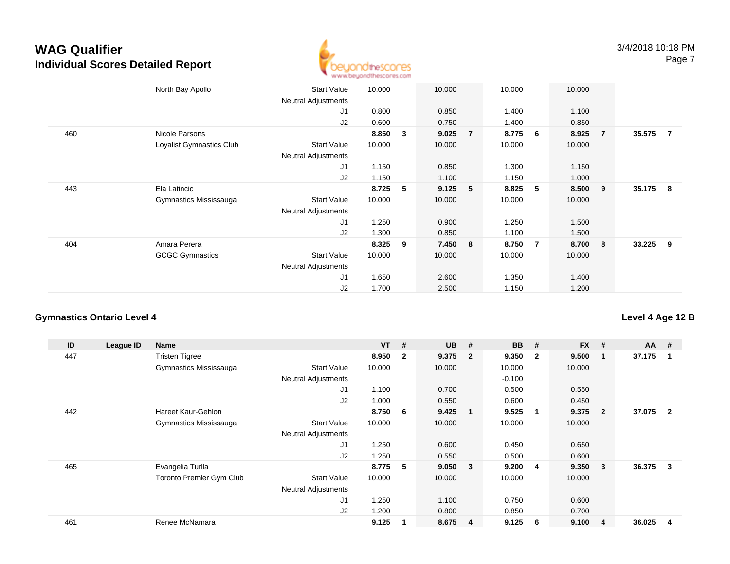

|     | North Bay Apollo         | <b>Start Value</b><br><b>Neutral Adjustments</b> | 10.000 |   | 10.000    |                | 10.000 |                | 10.000 |                         |          |                |
|-----|--------------------------|--------------------------------------------------|--------|---|-----------|----------------|--------|----------------|--------|-------------------------|----------|----------------|
|     |                          | J1                                               | 0.800  |   | 0.850     |                | 1.400  |                | 1.100  |                         |          |                |
|     |                          | J2                                               | 0.600  |   | 0.750     |                | 1.400  |                | 0.850  |                         |          |                |
| 460 | Nicole Parsons           |                                                  | 8.850  | 3 | 9.025     | $\overline{7}$ | 8.775  | 6              | 8.925  | $\overline{7}$          | 35.575   | $\overline{7}$ |
|     | Loyalist Gymnastics Club | <b>Start Value</b><br>Neutral Adjustments        | 10.000 |   | 10.000    |                | 10.000 |                | 10.000 |                         |          |                |
|     |                          | J <sub>1</sub>                                   | 1.150  |   | 0.850     |                | 1.300  |                | 1.150  |                         |          |                |
|     |                          | J2                                               | 1.150  |   | 1.100     |                | 1.150  |                | 1.000  |                         |          |                |
| 443 | Ela Latincic             |                                                  | 8.725  | 5 | $9.125$ 5 |                | 8.825  | 5              | 8.500  | - 9                     | 35.175 8 |                |
|     | Gymnastics Mississauga   | <b>Start Value</b>                               | 10.000 |   | 10.000    |                | 10.000 |                | 10.000 |                         |          |                |
|     |                          | <b>Neutral Adjustments</b>                       |        |   |           |                |        |                |        |                         |          |                |
|     |                          | J <sub>1</sub>                                   | 1.250  |   | 0.900     |                | 1.250  |                | 1.500  |                         |          |                |
|     |                          | J2                                               | 1.300  |   | 0.850     |                | 1.100  |                | 1.500  |                         |          |                |
| 404 | Amara Perera             |                                                  | 8.325  | 9 | 7.450 8   |                | 8.750  | $\overline{7}$ | 8.700  | $\overline{\mathbf{8}}$ | 33.225   | - 9            |
|     | <b>GCGC Gymnastics</b>   | <b>Start Value</b>                               | 10.000 |   | 10.000    |                | 10.000 |                | 10.000 |                         |          |                |
|     |                          | <b>Neutral Adjustments</b>                       |        |   |           |                |        |                |        |                         |          |                |
|     |                          | J <sub>1</sub>                                   | 1.650  |   | 2.600     |                | 1.350  |                | 1.400  |                         |          |                |
|     |                          | J2                                               | 1.700  |   | 2.500     |                | 1.150  |                | 1.200  |                         |          |                |

#### **Gymnastics Ontario Level 4**

**ID League ID Name VT # UB # BB # FX # AA #** 447 Tristen Tigree **8.950 <sup>2</sup> 9.375 <sup>2</sup> 9.350 <sup>2</sup> 9.500 <sup>1</sup> 37.175 <sup>1</sup>** Gymnastics Mississauga Start Value 10.000 10.000 10.000 10.000 Neutral Adjustments $-0.100$ 0.500 J1 1.100 0.700 0.500 0.550 J2 1.000 0.550 0.600 0.450 442 Hareet Kaur-Gehlon **8.750 <sup>6</sup> 9.425 <sup>1</sup> 9.525 <sup>1</sup> 9.375 <sup>2</sup> 37.075 <sup>2</sup>** Gymnastics Mississauga Start Value 10.000 10.000 10.000 10.000 Neutral Adjustments J1 1.250 0.600 0.450 0.650 J2 1.250 0.550 0.500 0.600 465 Evangelia Turlla **8.775 <sup>5</sup> 9.050 <sup>3</sup> 9.200 <sup>4</sup> 9.350 <sup>3</sup> 36.375 <sup>3</sup>** Toronto Premier Gym Clubb 3tart Value 10.000 10.000 10.000 10.000 10.000 Neutral Adjustments J1 1.250 1.100 0.750 0.600 J2 1.200 0.800 0.850 0.700 461Renee McNamara **9.125 <sup>1</sup> 8.675 <sup>4</sup> 9.125 <sup>6</sup> 9.100 <sup>4</sup> 36.025 <sup>4</sup>**

### **Level 4 Age 12 B**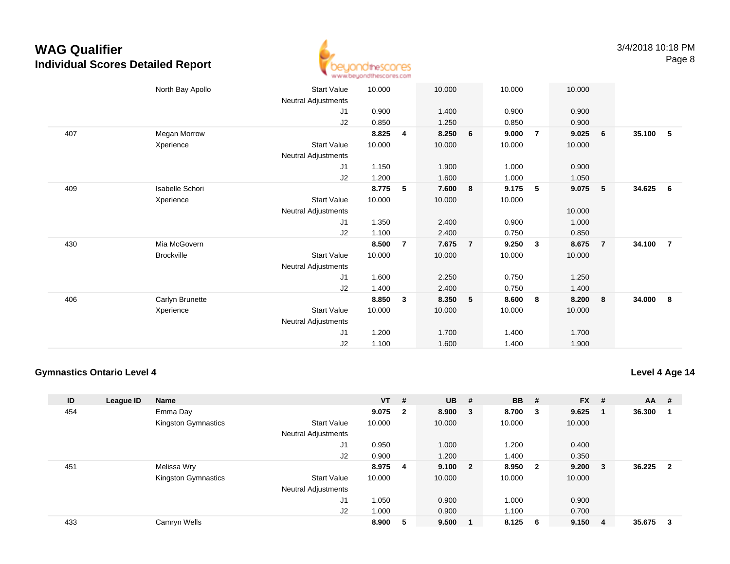

|     | North Bay Apollo  | <b>Start Value</b>         | 10.000 |   | 10.000 |                | 10.000 |                | 10.000 |                |        |                |
|-----|-------------------|----------------------------|--------|---|--------|----------------|--------|----------------|--------|----------------|--------|----------------|
|     |                   | Neutral Adjustments        |        |   |        |                |        |                |        |                |        |                |
|     |                   | J1                         | 0.900  |   | 1.400  |                | 0.900  |                | 0.900  |                |        |                |
|     |                   | J2                         | 0.850  |   | 1.250  |                | 0.850  |                | 0.900  |                |        |                |
| 407 | Megan Morrow      |                            | 8.825  | 4 | 8.250  | 6              | 9.000  | $\overline{7}$ | 9.025  | 6              | 35.100 | -5             |
|     | Xperience         | Start Value                | 10.000 |   | 10.000 |                | 10.000 |                | 10.000 |                |        |                |
|     |                   | Neutral Adjustments        |        |   |        |                |        |                |        |                |        |                |
|     |                   | J1                         | 1.150  |   | 1.900  |                | 1.000  |                | 0.900  |                |        |                |
|     |                   | J2                         | 1.200  |   | 1.600  |                | 1.000  |                | 1.050  |                |        |                |
| 409 | Isabelle Schori   |                            | 8.775  | 5 | 7.600  | 8              | 9.175  | 5              | 9.075  | $-5$           | 34.625 | - 6            |
|     | Xperience         | <b>Start Value</b>         | 10.000 |   | 10.000 |                | 10.000 |                |        |                |        |                |
|     |                   | Neutral Adjustments        |        |   |        |                |        |                | 10.000 |                |        |                |
|     |                   | J1                         | 1.350  |   | 2.400  |                | 0.900  |                | 1.000  |                |        |                |
|     |                   | J2                         | 1.100  |   | 2.400  |                | 0.750  |                | 0.850  |                |        |                |
| 430 | Mia McGovern      |                            | 8.500  | 7 | 7.675  | $\overline{7}$ | 9.250  | $\mathbf{3}$   | 8.675  | $\overline{7}$ | 34.100 | $\overline{7}$ |
|     | <b>Brockville</b> | <b>Start Value</b>         | 10.000 |   | 10.000 |                | 10.000 |                | 10.000 |                |        |                |
|     |                   | Neutral Adjustments        |        |   |        |                |        |                |        |                |        |                |
|     |                   | J1                         | 1.600  |   | 2.250  |                | 0.750  |                | 1.250  |                |        |                |
|     |                   | J2                         | 1.400  |   | 2.400  |                | 0.750  |                | 1.400  |                |        |                |
| 406 | Carlyn Brunette   |                            | 8.850  | 3 | 8.350  | $\sqrt{5}$     | 8.600  | 8              | 8.200  | 8              | 34.000 | - 8            |
|     | Xperience         | <b>Start Value</b>         | 10.000 |   | 10.000 |                | 10.000 |                | 10.000 |                |        |                |
|     |                   | <b>Neutral Adjustments</b> |        |   |        |                |        |                |        |                |        |                |
|     |                   | J1                         | 1.200  |   | 1.700  |                | 1.400  |                | 1.700  |                |        |                |
|     |                   | J2                         | 1.100  |   | 1.600  |                | 1.400  |                | 1.900  |                |        |                |

### **Gymnastics Ontario Level 4**

**Level 4 Age 14**

| ID  | League ID | <b>Name</b>         |                            | $VT$ # |                | <b>UB</b> | #                       | <b>BB</b> | -#                      | <b>FX</b> | #   | AA     | #                       |
|-----|-----------|---------------------|----------------------------|--------|----------------|-----------|-------------------------|-----------|-------------------------|-----------|-----|--------|-------------------------|
| 454 |           | Emma Day            |                            | 9.075  | $\overline{2}$ | 8.900     | $\overline{\mathbf{3}}$ | 8.700     | $\overline{\mathbf{3}}$ | 9.625     |     | 36.300 | -1                      |
|     |           | Kingston Gymnastics | <b>Start Value</b>         | 10.000 |                | 10.000    |                         | 10.000    |                         | 10.000    |     |        |                         |
|     |           |                     | <b>Neutral Adjustments</b> |        |                |           |                         |           |                         |           |     |        |                         |
|     |           |                     | J <sub>1</sub>             | 0.950  |                | 1.000     |                         | 1.200     |                         | 0.400     |     |        |                         |
|     |           |                     | J2                         | 0.900  |                | 1.200     |                         | 1.400     |                         | 0.350     |     |        |                         |
| 451 |           | Melissa Wry         |                            | 8.975  | 4              | 9.100     | $\overline{\mathbf{2}}$ | 8.950     | $\overline{\mathbf{2}}$ | 9.200     | - 3 | 36.225 | $\overline{\mathbf{2}}$ |
|     |           | Kingston Gymnastics | <b>Start Value</b>         | 10.000 |                | 10.000    |                         | 10.000    |                         | 10.000    |     |        |                         |
|     |           |                     | <b>Neutral Adjustments</b> |        |                |           |                         |           |                         |           |     |        |                         |
|     |           |                     | J <sub>1</sub>             | 1.050  |                | 0.900     |                         | 1.000     |                         | 0.900     |     |        |                         |
|     |           |                     | J2                         | 1.000  |                | 0.900     |                         | 1.100     |                         | 0.700     |     |        |                         |
| 433 |           | Camryn Wells        |                            | 8.900  | 5              | 9.500     |                         | 8.125     | - 6                     | 9.150     | -4  | 35.675 | -3                      |
|     |           |                     |                            |        |                |           |                         |           |                         |           |     |        |                         |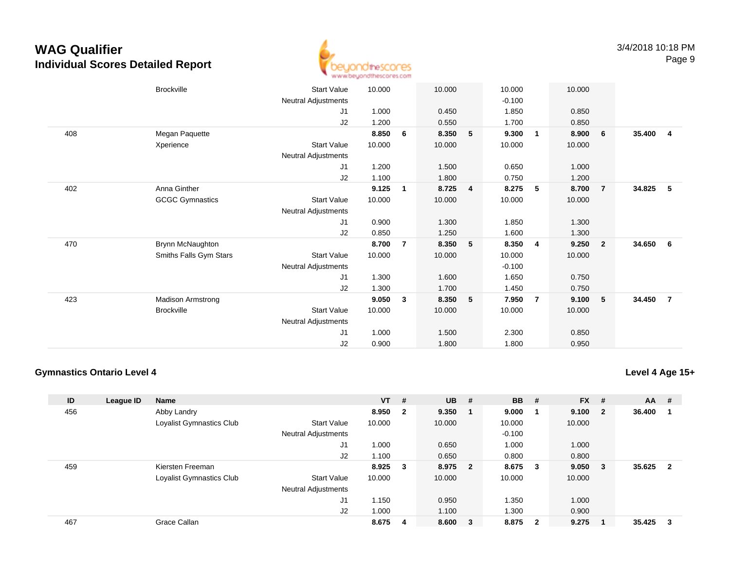

|     | <b>Brockville</b>        |                     | 10.000 |                | 10.000 |   |          |                | 10.000 |                         |        |                |
|-----|--------------------------|---------------------|--------|----------------|--------|---|----------|----------------|--------|-------------------------|--------|----------------|
|     |                          | <b>Start Value</b>  |        |                |        |   | 10.000   |                |        |                         |        |                |
|     |                          | Neutral Adjustments |        |                |        |   | $-0.100$ |                |        |                         |        |                |
|     |                          | J <sub>1</sub>      | 1.000  |                | 0.450  |   | 1.850    |                | 0.850  |                         |        |                |
|     |                          | J2                  | 1.200  |                | 0.550  |   | 1.700    |                | 0.850  |                         |        |                |
| 408 | Megan Paquette           |                     | 8.850  | 6              | 8.350  | 5 | 9.300    | $\overline{1}$ | 8.900  | 6                       | 35.400 | $\overline{4}$ |
|     | Xperience                | <b>Start Value</b>  | 10.000 |                | 10.000 |   | 10.000   |                | 10.000 |                         |        |                |
|     |                          | Neutral Adjustments |        |                |        |   |          |                |        |                         |        |                |
|     |                          | J1                  | 1.200  |                | 1.500  |   | 0.650    |                | 1.000  |                         |        |                |
|     |                          | J2                  | 1.100  |                | 1.800  |   | 0.750    |                | 1.200  |                         |        |                |
| 402 | Anna Ginther             |                     | 9.125  | 1              | 8.725  | 4 | 8.275    | 5              | 8.700  | 7                       | 34.825 | 5              |
|     | <b>GCGC Gymnastics</b>   | <b>Start Value</b>  | 10.000 |                | 10.000 |   | 10.000   |                | 10.000 |                         |        |                |
|     |                          | Neutral Adjustments |        |                |        |   |          |                |        |                         |        |                |
|     |                          | J1                  | 0.900  |                | 1.300  |   | 1.850    |                | 1.300  |                         |        |                |
|     |                          | J2                  | 0.850  |                | 1.250  |   | 1.600    |                | 1.300  |                         |        |                |
| 470 | Brynn McNaughton         |                     | 8.700  | $\overline{7}$ | 8.350  | 5 | 8.350    | $\overline{4}$ | 9.250  | $\overline{\mathbf{2}}$ | 34.650 | - 6            |
|     | Smiths Falls Gym Stars   | <b>Start Value</b>  | 10.000 |                | 10.000 |   | 10.000   |                | 10.000 |                         |        |                |
|     |                          | Neutral Adjustments |        |                |        |   | $-0.100$ |                |        |                         |        |                |
|     |                          | J <sub>1</sub>      | 1.300  |                | 1.600  |   | 1.650    |                | 0.750  |                         |        |                |
|     |                          | J2                  | 1.300  |                | 1.700  |   | 1.450    |                | 0.750  |                         |        |                |
| 423 | <b>Madison Armstrong</b> |                     | 9.050  | 3              | 8.350  | 5 | 7.950    | $\overline{7}$ | 9.100  | -5                      | 34.450 | $\overline{7}$ |
|     | <b>Brockville</b>        | <b>Start Value</b>  | 10.000 |                | 10.000 |   | 10.000   |                | 10.000 |                         |        |                |
|     |                          |                     |        |                |        |   |          |                |        |                         |        |                |
|     |                          | Neutral Adjustments |        |                |        |   |          |                |        |                         |        |                |
|     |                          | J <sub>1</sub>      | 1.000  |                | 1.500  |   | 2.300    |                | 0.850  |                         |        |                |
|     |                          | J2                  | 0.900  |                | 1.800  |   | 1.800    |                | 0.950  |                         |        |                |

### **Gymnastics Ontario Level 4**

**Level 4 Age 15+**

| ID  | League ID | Name                     |                            | <b>VT</b> | #              | <b>UB</b> | #                       | <b>BB</b> | #                       | <b>FX</b> | #  | <b>AA</b> | #              |
|-----|-----------|--------------------------|----------------------------|-----------|----------------|-----------|-------------------------|-----------|-------------------------|-----------|----|-----------|----------------|
| 456 |           | Abby Landry              |                            | 8.950     | $\overline{2}$ | 9.350     | $\blacksquare$ 1        | 9.000     |                         | 9.100     | -2 | 36.400    |                |
|     |           | Loyalist Gymnastics Club | <b>Start Value</b>         | 10.000    |                | 10.000    |                         | 10.000    |                         | 10.000    |    |           |                |
|     |           |                          | <b>Neutral Adjustments</b> |           |                |           |                         | $-0.100$  |                         |           |    |           |                |
|     |           |                          | J1                         | 1.000     |                | 0.650     |                         | 1.000     |                         | 1.000     |    |           |                |
|     |           |                          | J <sub>2</sub>             | 1.100     |                | 0.650     |                         | 0.800     |                         | 0.800     |    |           |                |
| 459 |           | Kiersten Freeman         |                            | 8.925     | 3              | 8.975     | $\overline{\mathbf{2}}$ | 8.675     | - 3                     | 9.050     | -3 | 35.625    | $\overline{2}$ |
|     |           | Loyalist Gymnastics Club | <b>Start Value</b>         | 10.000    |                | 10.000    |                         | 10.000    |                         | 10.000    |    |           |                |
|     |           |                          | <b>Neutral Adjustments</b> |           |                |           |                         |           |                         |           |    |           |                |
|     |           |                          | J1                         | 1.150     |                | 0.950     |                         | 1.350     |                         | 1.000     |    |           |                |
|     |           |                          | J <sub>2</sub>             | 1.000     |                | 1.100     |                         | 1.300     |                         | 0.900     |    |           |                |
| 467 |           | Grace Callan             |                            | 8.675     | 4              | 8.600     | $_{3}$                  | 8.875     | $\overline{\mathbf{2}}$ | 9.275     |    | 35.425    | 3              |
|     |           |                          |                            |           |                |           |                         |           |                         |           |    |           |                |